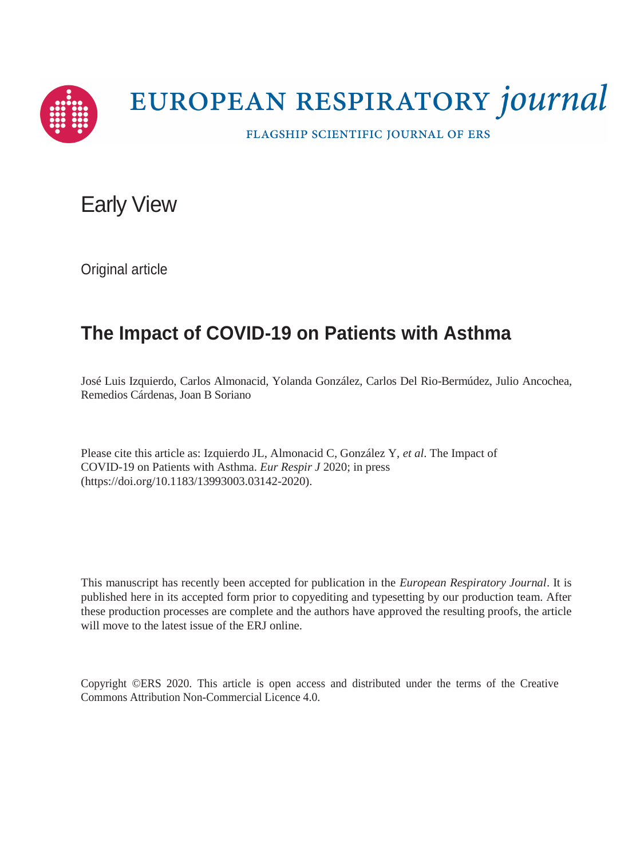

# EUROPEAN RESPIRATORY journal

FLAGSHIP SCIENTIFIC JOURNAL OF ERS

# Early View

Original article

# **The Impact of COVID-19 on Patients with Asthma**

José Luis Izquierdo, Carlos Almonacid, Yolanda González, Carlos Del Rio-Bermúdez, Julio Ancochea, Remedios Cárdenas, Joan B Soriano

Please cite this article as: Izquierdo JL, Almonacid C, González Y, *et al*. The Impact of COVID-19 on Patients with Asthma. *Eur Respir J* 2020; in press (https://doi.org/10.1183/13993003.03142-2020).

This manuscript has recently been accepted for publication in the *European Respiratory Journal*. It is published here in its accepted form prior to copyediting and typesetting by our production team. After these production processes are complete and the authors have approved the resulting proofs, the article will move to the latest issue of the ERJ online.

Copyright ©ERS 2020. This article is open access and distributed under the terms of the Creative Commons Attribution Non-Commercial Licence 4.0.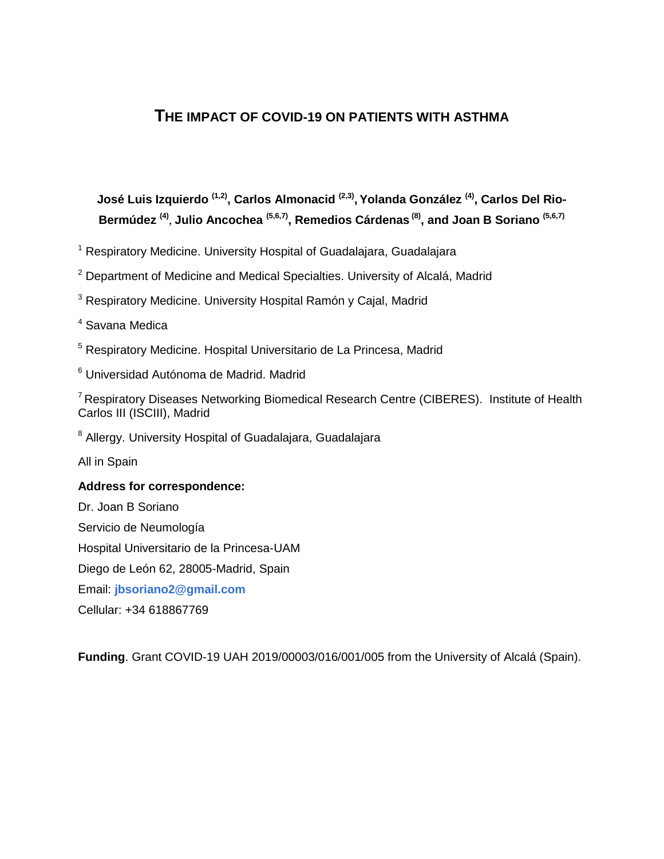### **THE IMPACT OF COVID-19 ON PATIENTS WITH ASTHMA**

## **José Luis Izquierdo (1,2), Carlos Almonacid (2,3) , Yolanda González (4) , Carlos Del Rio-Bermúdez (4)** , **Julio Ancochea (5,6,7), Remedios Cárdenas (8) , and Joan B Soriano (5,6,7)**

<sup>1</sup> Respiratory Medicine. University Hospital of Guadalajara, Guadalajara

<sup>2</sup> Department of Medicine and Medical Specialties. University of Alcalá, Madrid

<sup>3</sup> Respiratory Medicine. University Hospital Ramón y Caial, Madrid

<sup>4</sup> Savana Medica

<sup>5</sup> Respiratory Medicine. Hospital Universitario de La Princesa, Madrid

<sup>6</sup> Universidad Autónoma de Madrid. Madrid

<sup>7</sup> Respiratory Diseases Networking Biomedical Research Centre (CIBERES). Institute of Health Carlos III (ISCIII), Madrid

<sup>8</sup> Allergy. University Hospital of Guadalajara, Guadalajara

All in Spain

#### **Address for correspondence:**

Dr. Joan B Soriano Servicio de Neumología Hospital Universitario de la Princesa-UAM Diego de León 62, 28005-Madrid, Spain Email: **[jbsoriano2@gmail.com](mailto:jbsoriano2@gmail.com)** Cellular: +34 618867769

**Funding**. Grant COVID-19 UAH 2019/00003/016/001/005 from the University of Alcalá (Spain).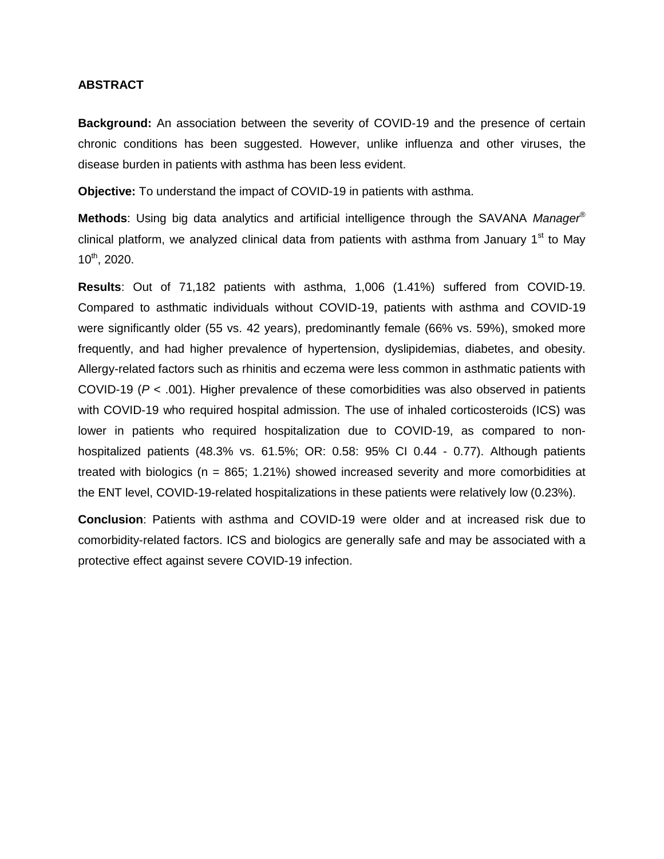#### **ABSTRACT**

**Background:** An association between the severity of COVID-19 and the presence of certain chronic conditions has been suggested. However, unlike influenza and other viruses, the disease burden in patients with asthma has been less evident.

**Objective:** To understand the impact of COVID-19 in patients with asthma.

**Methods**: Using big data analytics and artificial intelligence through the SAVANA *Manager*® clinical platform, we analyzed clinical data from patients with asthma from January  $1<sup>st</sup>$  to May 10th, 2020.

**Results**: Out of 71,182 patients with asthma, 1,006 (1.41%) suffered from COVID-19. Compared to asthmatic individuals without COVID-19, patients with asthma and COVID-19 were significantly older (55 vs. 42 years), predominantly female (66% vs. 59%), smoked more frequently, and had higher prevalence of hypertension, dyslipidemias, diabetes, and obesity. Allergy-related factors such as rhinitis and eczema were less common in asthmatic patients with COVID-19 (*P* < .001). Higher prevalence of these comorbidities was also observed in patients with COVID-19 who required hospital admission. The use of inhaled corticosteroids (ICS) was lower in patients who required hospitalization due to COVID-19, as compared to nonhospitalized patients (48.3% vs. 61.5%; OR: 0.58: 95% CI 0.44 - 0.77). Although patients treated with biologics (n = 865; 1.21%) showed increased severity and more comorbidities at the ENT level, COVID-19-related hospitalizations in these patients were relatively low (0.23%).

**Conclusion**: Patients with asthma and COVID-19 were older and at increased risk due to comorbidity-related factors. ICS and biologics are generally safe and may be associated with a protective effect against severe COVID-19 infection.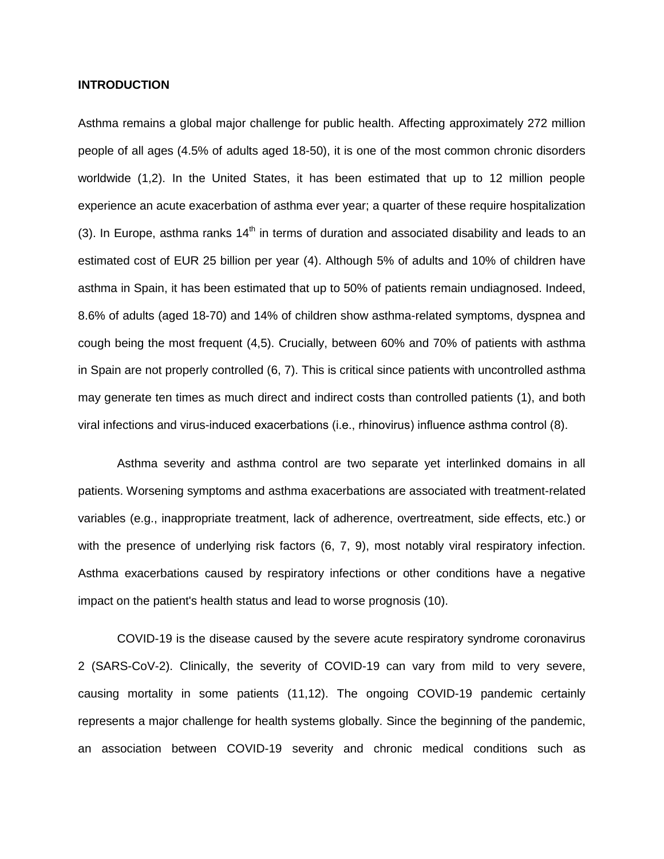#### **INTRODUCTION**

Asthma remains a global major challenge for public health. Affecting approximately 272 million people of all ages (4.5% of adults aged 18-50), it is one of the most common chronic disorders worldwide (1,2). In the United States, it has been estimated that up to 12 million people experience an acute exacerbation of asthma ever year; a quarter of these require hospitalization (3). In Europe, asthma ranks  $14<sup>th</sup>$  in terms of duration and associated disability and leads to an estimated cost of EUR 25 billion per year (4). Although 5% of adults and 10% of children have asthma in Spain, it has been estimated that up to 50% of patients remain undiagnosed. Indeed, 8.6% of adults (aged 18-70) and 14% of children show asthma-related symptoms, dyspnea and cough being the most frequent (4,5). Crucially, between 60% and 70% of patients with asthma in Spain are not properly controlled (6, 7). This is critical since patients with uncontrolled asthma may generate ten times as much direct and indirect costs than controlled patients (1), and both viral infections and virus-induced exacerbations (i.e., rhinovirus) influence asthma control (8).

Asthma severity and asthma control are two separate yet interlinked domains in all patients. Worsening symptoms and asthma exacerbations are associated with treatment-related variables (e.g., inappropriate treatment, lack of adherence, overtreatment, side effects, etc.) or with the presence of underlying risk factors (6, 7, 9), most notably viral respiratory infection. Asthma exacerbations caused by respiratory infections or other conditions have a negative impact on the patient's health status and lead to worse prognosis (10).

COVID-19 is the disease caused by the severe acute respiratory syndrome coronavirus 2 (SARS-CoV-2). Clinically, the severity of COVID-19 can vary from mild to very severe, causing mortality in some patients (11,12). The ongoing COVID-19 pandemic certainly represents a major challenge for health systems globally. Since the beginning of the pandemic, an association between COVID-19 severity and chronic medical conditions such as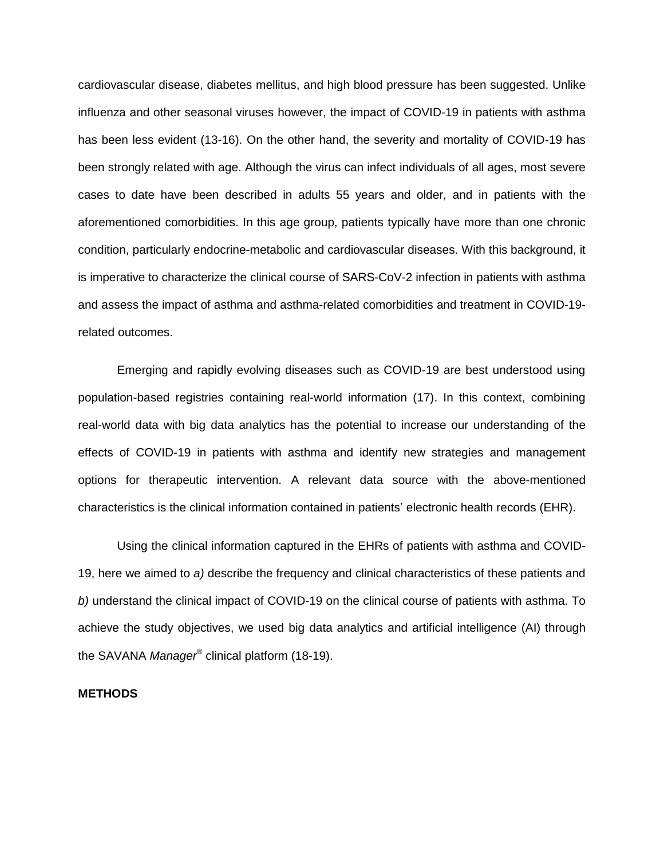cardiovascular disease, diabetes mellitus, and high blood pressure has been suggested. Unlike influenza and other seasonal viruses however, the impact of COVID-19 in patients with asthma has been less evident (13-16). On the other hand, the severity and mortality of COVID-19 has been strongly related with age. Although the virus can infect individuals of all ages, most severe cases to date have been described in adults 55 years and older, and in patients with the aforementioned comorbidities. In this age group, patients typically have more than one chronic condition, particularly endocrine-metabolic and cardiovascular diseases. With this background, it is imperative to characterize the clinical course of SARS-CoV-2 infection in patients with asthma and assess the impact of asthma and asthma-related comorbidities and treatment in COVID-19 related outcomes.

Emerging and rapidly evolving diseases such as COVID-19 are best understood using population-based registries containing real-world information (17). In this context, combining real-world data with big data analytics has the potential to increase our understanding of the effects of COVID-19 in patients with asthma and identify new strategies and management options for therapeutic intervention. A relevant data source with the above-mentioned characteristics is the clinical information contained in patients' electronic health records (EHR).

Using the clinical information captured in the EHRs of patients with asthma and COVID-19, here we aimed to *a)* describe the frequency and clinical characteristics of these patients and *b)* understand the clinical impact of COVID-19 on the clinical course of patients with asthma. To achieve the study objectives, we used big data analytics and artificial intelligence (AI) through the SAVANA *Manager*® clinical platform (18-19).

#### **METHODS**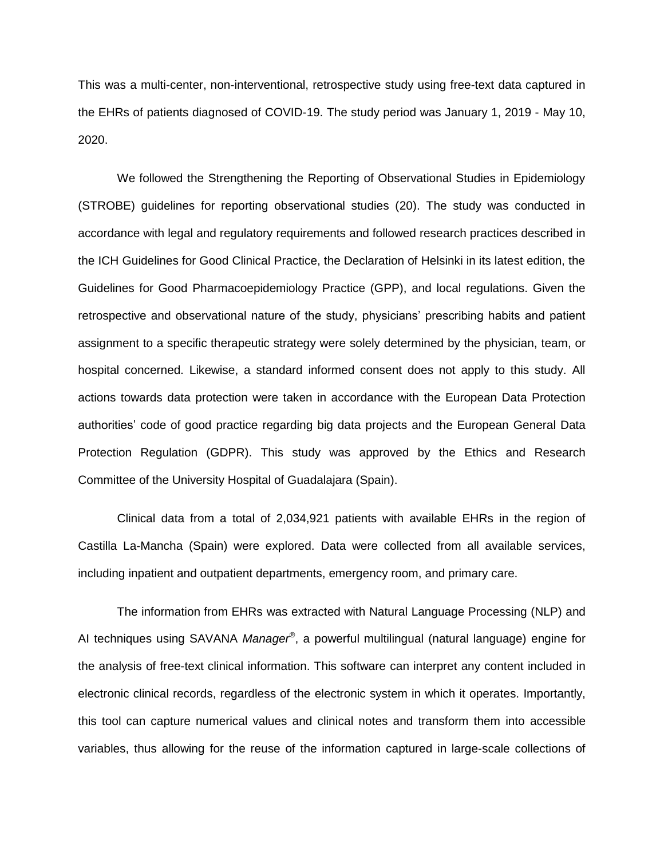This was a multi-center, non-interventional, retrospective study using free-text data captured in the EHRs of patients diagnosed of COVID-19. The study period was January 1, 2019 - May 10, 2020.

We followed the Strengthening the Reporting of Observational Studies in Epidemiology (STROBE) guidelines for reporting observational studies (20). The study was conducted in accordance with legal and regulatory requirements and followed research practices described in the ICH Guidelines for Good Clinical Practice, the Declaration of Helsinki in its latest edition, the Guidelines for Good Pharmacoepidemiology Practice (GPP), and local regulations. Given the retrospective and observational nature of the study, physicians' prescribing habits and patient assignment to a specific therapeutic strategy were solely determined by the physician, team, or hospital concerned. Likewise, a standard informed consent does not apply to this study. All actions towards data protection were taken in accordance with the European Data Protection authorities' code of good practice regarding big data projects and the European General Data Protection Regulation (GDPR). This study was approved by the Ethics and Research Committee of the University Hospital of Guadalajara (Spain).

Clinical data from a total of 2,034,921 patients with available EHRs in the region of Castilla La-Mancha (Spain) were explored. Data were collected from all available services, including inpatient and outpatient departments, emergency room, and primary care.

The information from EHRs was extracted with Natural Language Processing (NLP) and AI techniques using SAVANA *Manager*® , a powerful multilingual (natural language) engine for the analysis of free-text clinical information. This software can interpret any content included in electronic clinical records, regardless of the electronic system in which it operates. Importantly, this tool can capture numerical values and clinical notes and transform them into accessible variables, thus allowing for the reuse of the information captured in large-scale collections of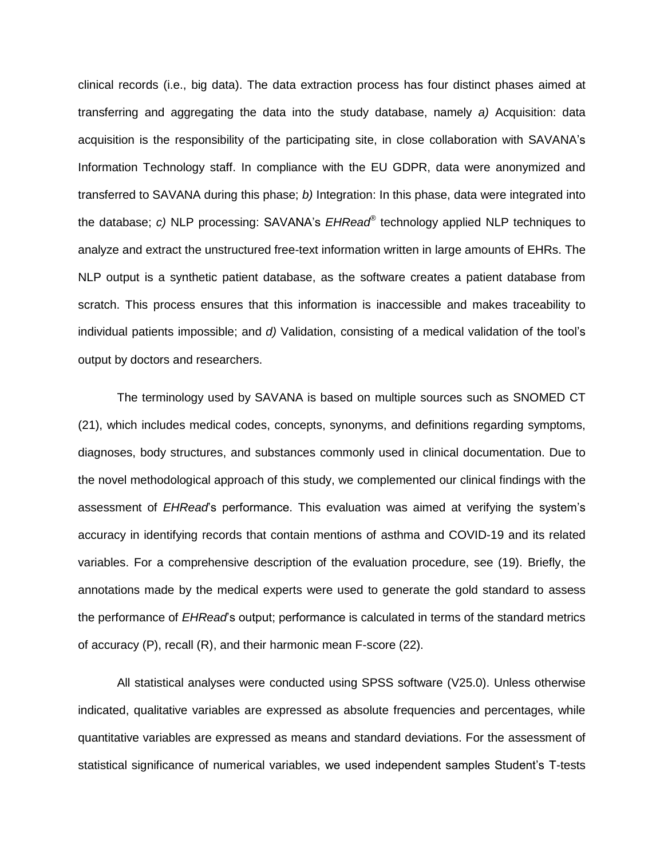clinical records (i.e., big data). The data extraction process has four distinct phases aimed at transferring and aggregating the data into the study database, namely *a)* Acquisition: data acquisition is the responsibility of the participating site, in close collaboration with SAVANA's Information Technology staff. In compliance with the EU GDPR, data were anonymized and transferred to SAVANA during this phase; *b)* Integration: In this phase, data were integrated into the database; *c)* NLP processing: SAVANA's *EHRead®* technology applied NLP techniques to analyze and extract the unstructured free-text information written in large amounts of EHRs. The NLP output is a synthetic patient database, as the software creates a patient database from scratch. This process ensures that this information is inaccessible and makes traceability to individual patients impossible; and *d)* Validation, consisting of a medical validation of the tool's output by doctors and researchers.

The terminology used by SAVANA is based on multiple sources such as SNOMED CT (21), which includes medical codes, concepts, synonyms, and definitions regarding symptoms, diagnoses, body structures, and substances commonly used in clinical documentation. Due to the novel methodological approach of this study, we complemented our clinical findings with the assessment of *EHRead*'s performance. This evaluation was aimed at verifying the system's accuracy in identifying records that contain mentions of asthma and COVID-19 and its related variables. For a comprehensive description of the evaluation procedure, see (19). Briefly, the annotations made by the medical experts were used to generate the gold standard to assess the performance of *EHRead*'s output; performance is calculated in terms of the standard metrics of accuracy (P), recall (R), and their harmonic mean F-score (22).

All statistical analyses were conducted using SPSS software (V25.0). Unless otherwise indicated, qualitative variables are expressed as absolute frequencies and percentages, while quantitative variables are expressed as means and standard deviations. For the assessment of statistical significance of numerical variables, we used independent samples Student's T-tests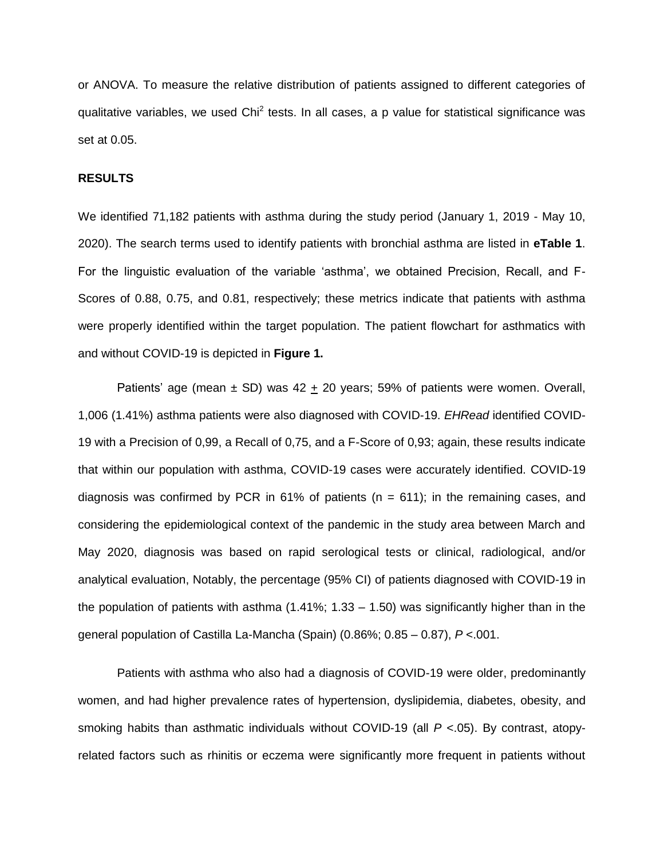or ANOVA. To measure the relative distribution of patients assigned to different categories of qualitative variables, we used Chi<sup>2</sup> tests. In all cases, a p value for statistical significance was set at 0.05.

#### **RESULTS**

We identified 71,182 patients with asthma during the study period (January 1, 2019 - May 10, 2020). The search terms used to identify patients with bronchial asthma are listed in **eTable 1**. For the linguistic evaluation of the variable 'asthma', we obtained Precision, Recall, and F-Scores of 0.88, 0.75, and 0.81, respectively; these metrics indicate that patients with asthma were properly identified within the target population. The patient flowchart for asthmatics with and without COVID-19 is depicted in **Figure 1.**

Patients' age (mean  $\pm$  SD) was 42  $\pm$  20 years; 59% of patients were women. Overall, 1,006 (1.41%) asthma patients were also diagnosed with COVID-19. *EHRead* identified COVID-19 with a Precision of 0,99, a Recall of 0,75, and a F-Score of 0,93; again, these results indicate that within our population with asthma, COVID-19 cases were accurately identified. COVID-19 diagnosis was confirmed by PCR in 61% of patients ( $n = 611$ ); in the remaining cases, and considering the epidemiological context of the pandemic in the study area between March and May 2020, diagnosis was based on rapid serological tests or clinical, radiological, and/or analytical evaluation, Notably, the percentage (95% CI) of patients diagnosed with COVID-19 in the population of patients with asthma  $(1.41\%; 1.33 - 1.50)$  was significantly higher than in the general population of Castilla La-Mancha (Spain) (0.86%; 0.85 – 0.87), *P* <.001.

Patients with asthma who also had a diagnosis of COVID-19 were older, predominantly women, and had higher prevalence rates of hypertension, dyslipidemia, diabetes, obesity, and smoking habits than asthmatic individuals without COVID-19 (all *P* <.05). By contrast, atopyrelated factors such as rhinitis or eczema were significantly more frequent in patients without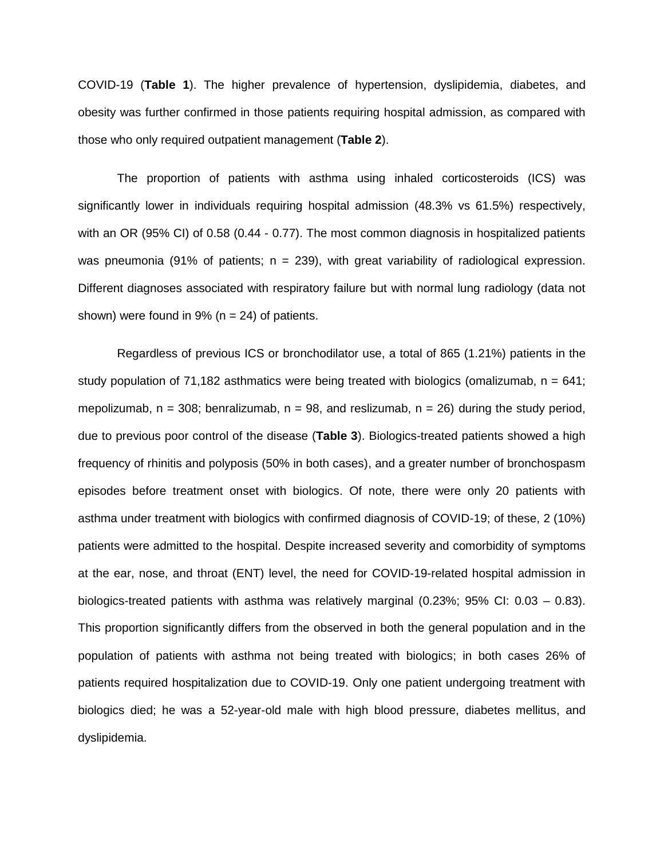COVID-19 (**Table 1**). The higher prevalence of hypertension, dyslipidemia, diabetes, and obesity was further confirmed in those patients requiring hospital admission, as compared with those who only required outpatient management (**Table 2**).

The proportion of patients with asthma using inhaled corticosteroids (ICS) was significantly lower in individuals requiring hospital admission (48.3% vs 61.5%) respectively, with an OR (95% CI) of 0.58 (0.44 - 0.77). The most common diagnosis in hospitalized patients was pneumonia (91% of patients;  $n = 239$ ), with great variability of radiological expression. Different diagnoses associated with respiratory failure but with normal lung radiology (data not shown) were found in  $9\%$  (n = 24) of patients.

Regardless of previous ICS or bronchodilator use, a total of 865 (1.21%) patients in the study population of 71,182 asthmatics were being treated with biologics (omalizumab,  $n = 641$ ; mepolizumab,  $n = 308$ ; benralizumab,  $n = 98$ , and reslizumab,  $n = 26$ ) during the study period, due to previous poor control of the disease (**Table 3**). Biologics-treated patients showed a high frequency of rhinitis and polyposis (50% in both cases), and a greater number of bronchospasm episodes before treatment onset with biologics. Of note, there were only 20 patients with asthma under treatment with biologics with confirmed diagnosis of COVID-19; of these, 2 (10%) patients were admitted to the hospital. Despite increased severity and comorbidity of symptoms at the ear, nose, and throat (ENT) level, the need for COVID-19-related hospital admission in biologics-treated patients with asthma was relatively marginal (0.23%; 95% CI: 0.03 – 0.83). This proportion significantly differs from the observed in both the general population and in the population of patients with asthma not being treated with biologics; in both cases 26% of patients required hospitalization due to COVID-19. Only one patient undergoing treatment with biologics died; he was a 52-year-old male with high blood pressure, diabetes mellitus, and dyslipidemia.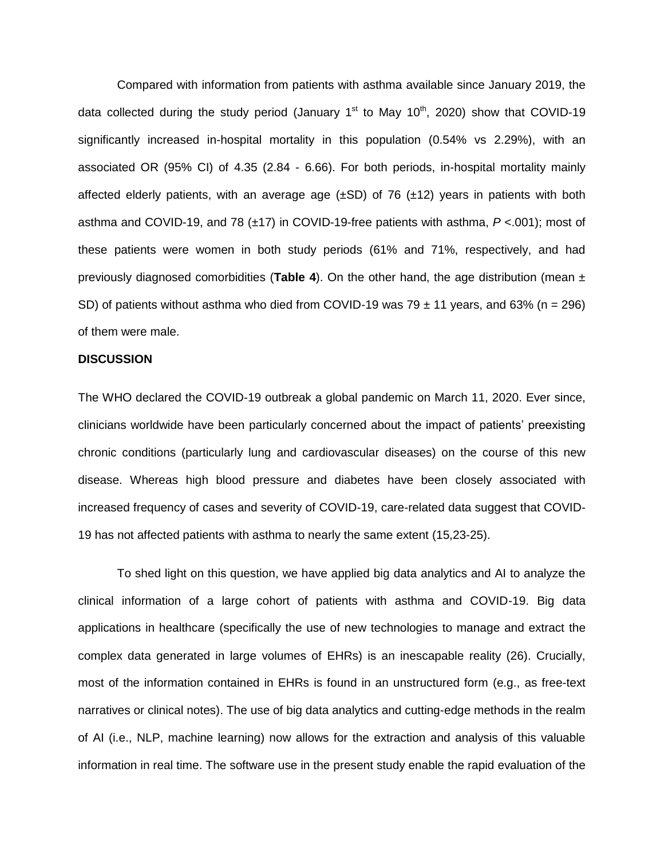Compared with information from patients with asthma available since January 2019, the data collected during the study period (January  $1<sup>st</sup>$  to May  $10<sup>th</sup>$ , 2020) show that COVID-19 significantly increased in-hospital mortality in this population (0.54% vs 2.29%), with an associated OR (95% CI) of 4.35 (2.84 - 6.66). For both periods, in-hospital mortality mainly affected elderly patients, with an average age  $(\pm SD)$  of 76  $(\pm 12)$  years in patients with both asthma and COVID-19, and 78 (±17) in COVID-19-free patients with asthma, *P* <.001); most of these patients were women in both study periods (61% and 71%, respectively, and had previously diagnosed comorbidities (**Table 4**). On the other hand, the age distribution (mean ± SD) of patients without asthma who died from COVID-19 was 79  $\pm$  11 years, and 63% (n = 296) of them were male.

#### **DISCUSSION**

The WHO declared the COVID-19 outbreak a global pandemic on March 11, 2020. Ever since, clinicians worldwide have been particularly concerned about the impact of patients' preexisting chronic conditions (particularly lung and cardiovascular diseases) on the course of this new disease. Whereas high blood pressure and diabetes have been closely associated with increased frequency of cases and severity of COVID-19, care-related data suggest that COVID-19 has not affected patients with asthma to nearly the same extent (15,23-25).

To shed light on this question, we have applied big data analytics and AI to analyze the clinical information of a large cohort of patients with asthma and COVID-19. Big data applications in healthcare (specifically the use of new technologies to manage and extract the complex data generated in large volumes of EHRs) is an inescapable reality (26). Crucially, most of the information contained in EHRs is found in an unstructured form (e.g., as free-text narratives or clinical notes). The use of big data analytics and cutting-edge methods in the realm of AI (i.e., NLP, machine learning) now allows for the extraction and analysis of this valuable information in real time. The software use in the present study enable the rapid evaluation of the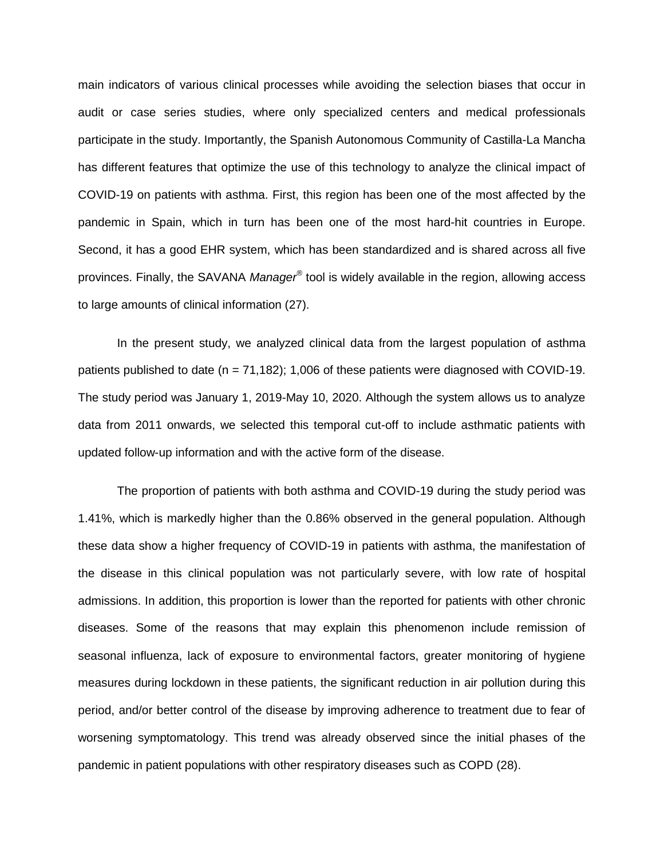main indicators of various clinical processes while avoiding the selection biases that occur in audit or case series studies, where only specialized centers and medical professionals participate in the study. Importantly, the Spanish Autonomous Community of Castilla-La Mancha has different features that optimize the use of this technology to analyze the clinical impact of COVID-19 on patients with asthma. First, this region has been one of the most affected by the pandemic in Spain, which in turn has been one of the most hard-hit countries in Europe. Second, it has a good EHR system, which has been standardized and is shared across all five provinces. Finally, the SAVANA *Manager®* tool is widely available in the region, allowing access to large amounts of clinical information (27).

In the present study, we analyzed clinical data from the largest population of asthma patients published to date (n = 71,182); 1,006 of these patients were diagnosed with COVID-19. The study period was January 1, 2019-May 10, 2020. Although the system allows us to analyze data from 2011 onwards, we selected this temporal cut-off to include asthmatic patients with updated follow-up information and with the active form of the disease.

The proportion of patients with both asthma and COVID-19 during the study period was 1.41%, which is markedly higher than the 0.86% observed in the general population. Although these data show a higher frequency of COVID-19 in patients with asthma, the manifestation of the disease in this clinical population was not particularly severe, with low rate of hospital admissions. In addition, this proportion is lower than the reported for patients with other chronic diseases. Some of the reasons that may explain this phenomenon include remission of seasonal influenza, lack of exposure to environmental factors, greater monitoring of hygiene measures during lockdown in these patients, the significant reduction in air pollution during this period, and/or better control of the disease by improving adherence to treatment due to fear of worsening symptomatology. This trend was already observed since the initial phases of the pandemic in patient populations with other respiratory diseases such as COPD (28).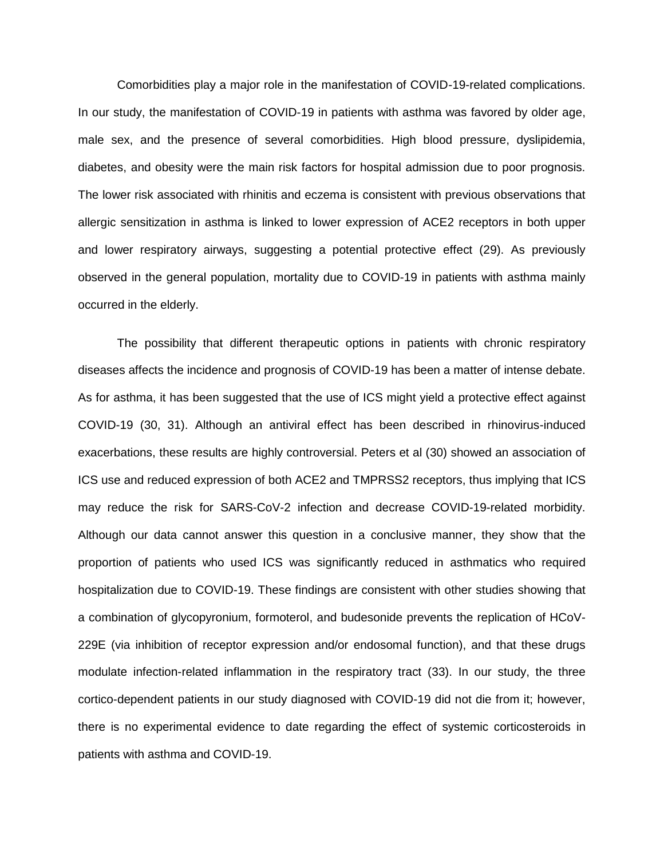Comorbidities play a major role in the manifestation of COVID-19-related complications. In our study, the manifestation of COVID-19 in patients with asthma was favored by older age, male sex, and the presence of several comorbidities. High blood pressure, dyslipidemia, diabetes, and obesity were the main risk factors for hospital admission due to poor prognosis. The lower risk associated with rhinitis and eczema is consistent with previous observations that allergic sensitization in asthma is linked to lower expression of ACE2 receptors in both upper and lower respiratory airways, suggesting a potential protective effect (29). As previously observed in the general population, mortality due to COVID-19 in patients with asthma mainly occurred in the elderly.

The possibility that different therapeutic options in patients with chronic respiratory diseases affects the incidence and prognosis of COVID-19 has been a matter of intense debate. As for asthma, it has been suggested that the use of ICS might yield a protective effect against COVID-19 (30, 31). Although an antiviral effect has been described in rhinovirus-induced exacerbations, these results are highly controversial. Peters et al (30) showed an association of ICS use and reduced expression of both ACE2 and TMPRSS2 receptors, thus implying that ICS may reduce the risk for SARS-CoV-2 infection and decrease COVID-19-related morbidity. Although our data cannot answer this question in a conclusive manner, they show that the proportion of patients who used ICS was significantly reduced in asthmatics who required hospitalization due to COVID-19. These findings are consistent with other studies showing that a combination of glycopyronium, formoterol, and budesonide prevents the replication of HCoV-229E (via inhibition of receptor expression and/or endosomal function), and that these drugs modulate infection-related inflammation in the respiratory tract (33). In our study, the three cortico-dependent patients in our study diagnosed with COVID-19 did not die from it; however, there is no experimental evidence to date regarding the effect of systemic corticosteroids in patients with asthma and COVID-19.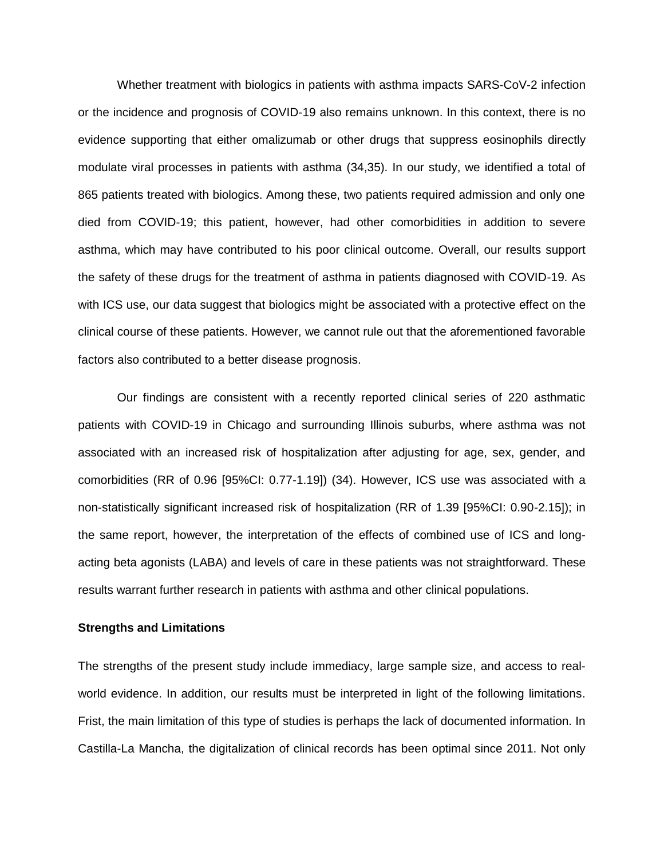Whether treatment with biologics in patients with asthma impacts SARS-CoV-2 infection or the incidence and prognosis of COVID-19 also remains unknown. In this context, there is no evidence supporting that either omalizumab or other drugs that suppress eosinophils directly modulate viral processes in patients with asthma (34,35). In our study, we identified a total of 865 patients treated with biologics. Among these, two patients required admission and only one died from COVID-19; this patient, however, had other comorbidities in addition to severe asthma, which may have contributed to his poor clinical outcome. Overall, our results support the safety of these drugs for the treatment of asthma in patients diagnosed with COVID-19. As with ICS use, our data suggest that biologics might be associated with a protective effect on the clinical course of these patients. However, we cannot rule out that the aforementioned favorable factors also contributed to a better disease prognosis.

Our findings are consistent with a recently reported clinical series of 220 asthmatic patients with COVID-19 in Chicago and surrounding Illinois suburbs, where asthma was not associated with an increased risk of hospitalization after adjusting for age, sex, gender, and comorbidities (RR of 0.96 [95%CI: 0.77-1.19]) (34). However, ICS use was associated with a non-statistically significant increased risk of hospitalization (RR of 1.39 [95%CI: 0.90-2.15]); in the same report, however, the interpretation of the effects of combined use of ICS and longacting beta agonists (LABA) and levels of care in these patients was not straightforward. These results warrant further research in patients with asthma and other clinical populations.

#### **Strengths and Limitations**

The strengths of the present study include immediacy, large sample size, and access to realworld evidence. In addition, our results must be interpreted in light of the following limitations. Frist, the main limitation of this type of studies is perhaps the lack of documented information. In Castilla-La Mancha, the digitalization of clinical records has been optimal since 2011. Not only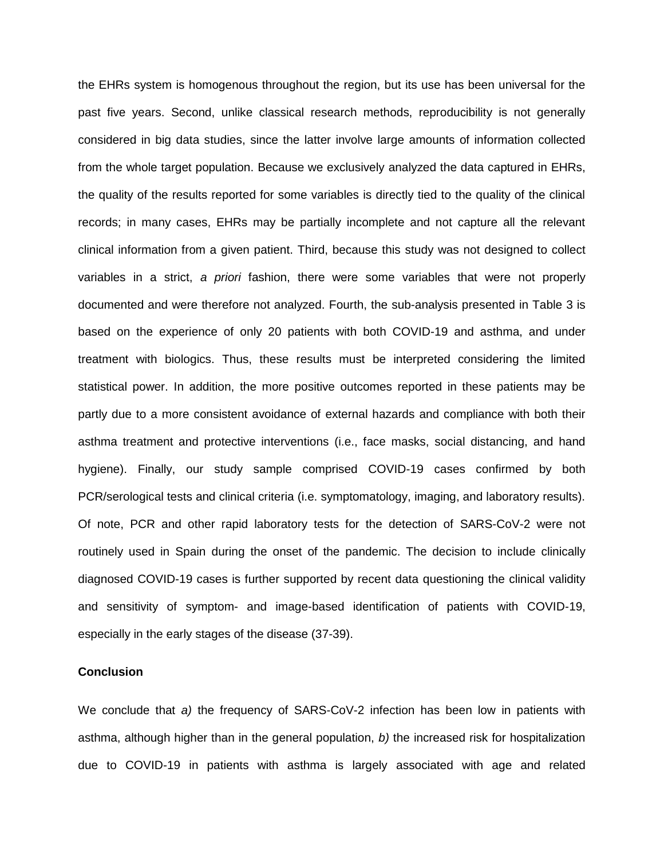the EHRs system is homogenous throughout the region, but its use has been universal for the past five years. Second, unlike classical research methods, reproducibility is not generally considered in big data studies, since the latter involve large amounts of information collected from the whole target population. Because we exclusively analyzed the data captured in EHRs, the quality of the results reported for some variables is directly tied to the quality of the clinical records; in many cases, EHRs may be partially incomplete and not capture all the relevant clinical information from a given patient. Third, because this study was not designed to collect variables in a strict, *a priori* fashion, there were some variables that were not properly documented and were therefore not analyzed. Fourth, the sub-analysis presented in Table 3 is based on the experience of only 20 patients with both COVID-19 and asthma, and under treatment with biologics. Thus, these results must be interpreted considering the limited statistical power. In addition, the more positive outcomes reported in these patients may be partly due to a more consistent avoidance of external hazards and compliance with both their asthma treatment and protective interventions (i.e., face masks, social distancing, and hand hygiene). Finally, our study sample comprised COVID-19 cases confirmed by both PCR/serological tests and clinical criteria (i.e. symptomatology, imaging, and laboratory results). Of note, PCR and other rapid laboratory tests for the detection of SARS-CoV-2 were not routinely used in Spain during the onset of the pandemic. The decision to include clinically diagnosed COVID-19 cases is further supported by recent data questioning the clinical validity and sensitivity of symptom- and image-based identification of patients with COVID-19, especially in the early stages of the disease (37-39).

#### **Conclusion**

We conclude that *a)* the frequency of SARS-CoV-2 infection has been low in patients with asthma, although higher than in the general population, *b)* the increased risk for hospitalization due to COVID-19 in patients with asthma is largely associated with age and related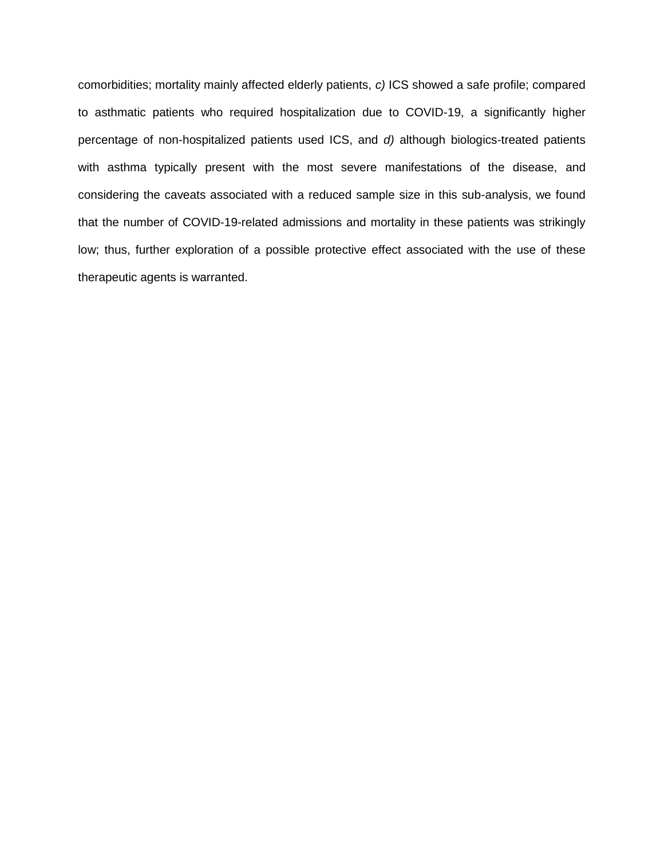comorbidities; mortality mainly affected elderly patients, *c)* ICS showed a safe profile; compared to asthmatic patients who required hospitalization due to COVID-19, a significantly higher percentage of non-hospitalized patients used ICS, and *d)* although biologics-treated patients with asthma typically present with the most severe manifestations of the disease, and considering the caveats associated with a reduced sample size in this sub-analysis, we found that the number of COVID-19-related admissions and mortality in these patients was strikingly low; thus, further exploration of a possible protective effect associated with the use of these therapeutic agents is warranted.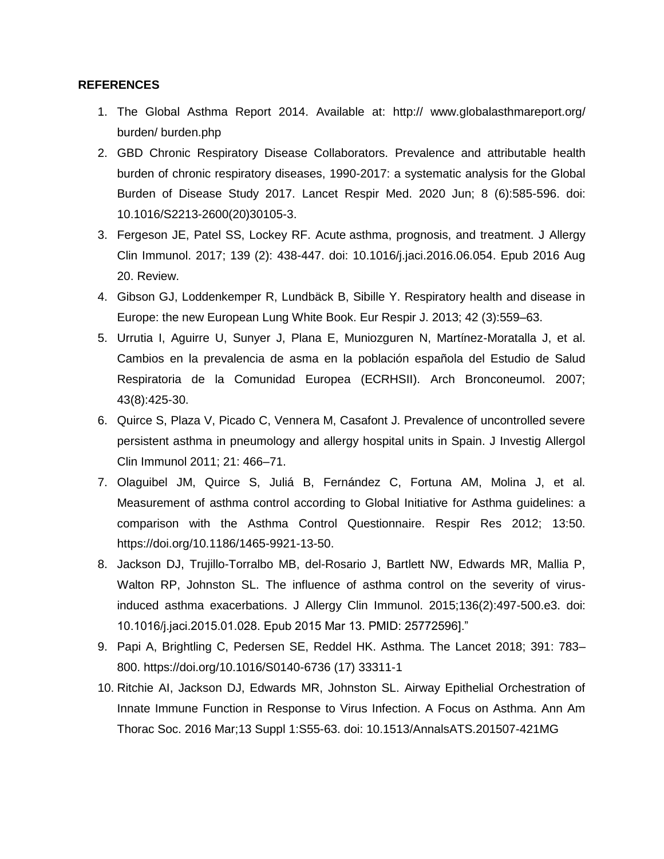#### **REFERENCES**

- 1. The Global Asthma Report 2014. Available at: http:// [www.globalasthmareport.org/](http://www.globalasthmareport.org/) burden/ burden.php
- 2. GBD Chronic Respiratory Disease Collaborators. Prevalence and attributable health burden of chronic respiratory diseases, 1990-2017: a systematic analysis for the Global Burden of Disease Study 2017. Lancet Respir Med. 2020 Jun; 8 (6):585-596. doi: 10.1016/S2213-2600(20)30105-3.
- 3. Fergeson JE, Patel SS, Lockey RF. Acute asthma, prognosis, and treatment. J Allergy Clin Immunol. 2017; 139 (2): 438-447. doi: 10.1016/j.jaci.2016.06.054. Epub 2016 Aug 20. Review.
- 4. Gibson GJ, Loddenkemper R, Lundbäck B, Sibille Y. Respiratory health and disease in Europe: the new European Lung White Book. Eur Respir J. 2013; 42 (3):559–63.
- 5. Urrutia I, Aguirre U, Sunyer J, Plana E, Muniozguren N, Martínez-Moratalla J, et al. Cambios en la prevalencia de asma en la población española del Estudio de Salud Respiratoria de la Comunidad Europea (ECRHSII). Arch Bronconeumol. 2007; 43(8):425-30.
- 6. Quirce S, Plaza V, Picado C, Vennera M, Casafont J. Prevalence of uncontrolled severe persistent asthma in pneumology and allergy hospital units in Spain. J Investig Allergol Clin Immunol 2011; 21: 466–71.
- 7. Olaguibel JM, Quirce S, Juliá B, Fernández C, Fortuna AM, Molina J, et al. Measurement of asthma control according to Global Initiative for Asthma guidelines: a comparison with the Asthma Control Questionnaire. Respir Res 2012; 13:50. [https://doi.org/10.1186/1465-9921-13-50.](https://doi.org/10.1186/1465-9921-13-50)
- 8. Jackson DJ, Trujillo-Torralbo MB, del-Rosario J, Bartlett NW, Edwards MR, Mallia P, Walton RP, Johnston SL. The influence of asthma control on the severity of virusinduced asthma exacerbations. J Allergy Clin Immunol. 2015;136(2):497-500.e3. doi: 10.1016/j.jaci.2015.01.028. Epub 2015 Mar 13. PMID: 25772596]."
- 9. Papi A, Brightling C, Pedersen SE, Reddel HK. Asthma. The Lancet 2018; 391: 783– 800.<https://doi.org/10.1016/S0140-6736> (17) 33311-1
- 10. Ritchie AI, Jackson DJ, Edwards MR, Johnston SL. Airway Epithelial Orchestration of Innate Immune Function in Response to Virus Infection. A Focus on Asthma. Ann Am Thorac Soc. 2016 Mar;13 Suppl 1:S55-63. doi: 10.1513/AnnalsATS.201507-421MG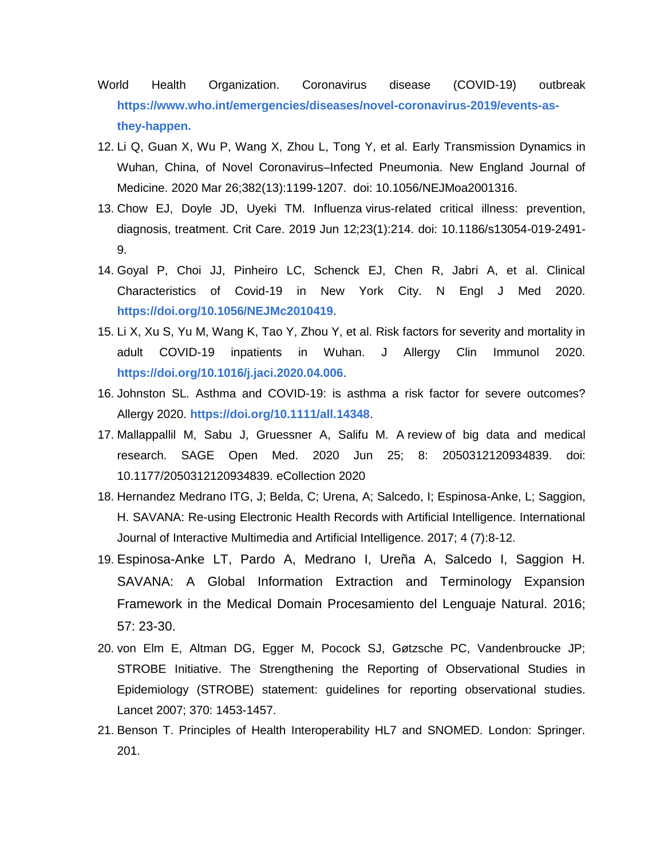- World Health Organization. Coronavirus disease (COVID-19) outbreak **[https://www.who.int/emergencies/diseases/novel-coronavirus-2019/events-as](https://www.who.int/emergencies/diseases/novel-coronavirus-2019/events-as-they-happen.)[they-happen.](https://www.who.int/emergencies/diseases/novel-coronavirus-2019/events-as-they-happen.)**
- 12. Li Q, Guan X, Wu P, Wang X, Zhou L, Tong Y, et al. Early Transmission Dynamics in Wuhan, China, of Novel Coronavirus–Infected Pneumonia. New England Journal of Medicine. 2020 Mar 26;382(13):1199-1207. doi: 10.1056/NEJMoa2001316.
- 13. Chow EJ, Doyle JD, Uyeki TM. Influenza virus-related critical illness: prevention, diagnosis, treatment. Crit Care. 2019 Jun 12;23(1):214. doi: 10.1186/s13054-019-2491- 9.
- 14. Goyal P, Choi JJ, Pinheiro LC, Schenck EJ, Chen R, Jabri A, et al. Clinical Characteristics of Covid-19 in New York City. N Engl J Med 2020. **<https://doi.org/10.1056/NEJMc2010419>**.
- 15. Li X, Xu S, Yu M, Wang K, Tao Y, Zhou Y, et al. Risk factors for severity and mortality in adult COVID-19 inpatients in Wuhan. J Allergy Clin Immunol 2020. **<https://doi.org/10.1016/j.jaci.2020.04.006>**.
- 16. Johnston SL. Asthma and COVID-19: is asthma a risk factor for severe outcomes? Allergy 2020. **<https://doi.org/10.1111/all.14348>**.
- 17. Mallappallil M, Sabu J, Gruessner A, Salifu M. A review of big data and medical research. SAGE Open Med. 2020 Jun 25; 8: 2050312120934839. doi: 10.1177/2050312120934839. eCollection 2020
- 18. Hernandez Medrano ITG, J; Belda, C; Urena, A; Salcedo, I; Espinosa-Anke, L; Saggion, H. SAVANA: Re-using Electronic Health Records with Artificial Intelligence. International Journal of Interactive Multimedia and Artificial Intelligence. 2017; 4 (7):8-12.
- 19. Espinosa-Anke LT, Pardo A, Medrano I, Ureña A, Salcedo I, Saggion H. SAVANA: A Global Information Extraction and Terminology Expansion Framework in the Medical Domain Procesamiento del Lenguaje Natural. 2016; 57: 23-30.
- 20. von Elm E, Altman DG, Egger M, Pocock SJ, Gøtzsche PC, Vandenbroucke JP; STROBE Initiative. The Strengthening the Reporting of Observational Studies in Epidemiology (STROBE) statement: guidelines for reporting observational studies. Lancet 2007; 370: 1453-1457.
- 21. Benson T. Principles of Health Interoperability HL7 and SNOMED. London: Springer. 201.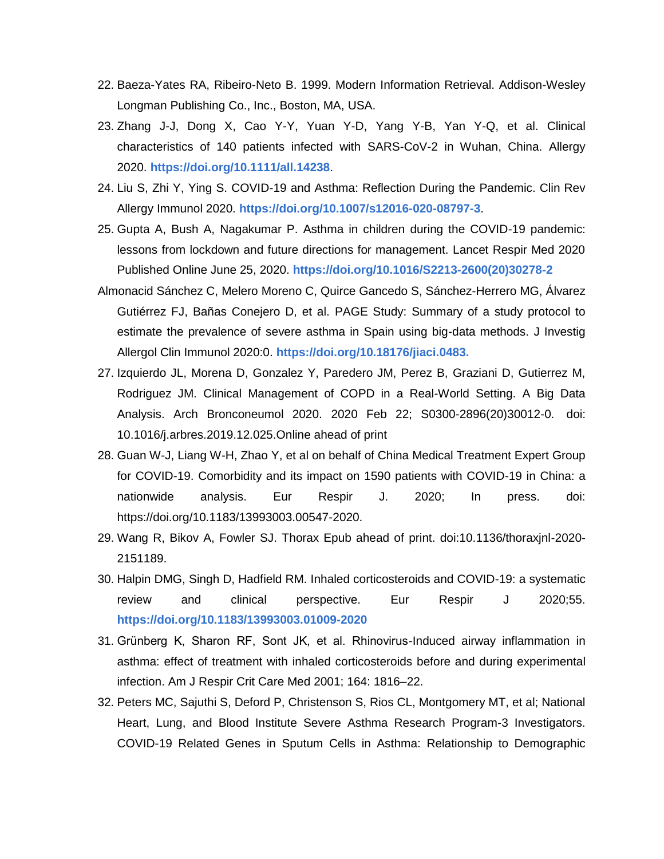- 22. Baeza-Yates RA, Ribeiro-Neto B. 1999. Modern Information Retrieval. Addison-Wesley Longman Publishing Co., Inc., Boston, MA, USA.
- 23. Zhang J-J, Dong X, Cao Y-Y, Yuan Y-D, Yang Y-B, Yan Y-Q, et al. Clinical characteristics of 140 patients infected with SARS-CoV-2 in Wuhan, China. Allergy 2020. **<https://doi.org/10.1111/all.14238>**.
- 24. Liu S, Zhi Y, Ying S. COVID-19 and Asthma: Reflection During the Pandemic. Clin Rev Allergy Immunol 2020. **<https://doi.org/10.1007/s12016-020-08797-3>**.
- 25. Gupta A, Bush A, Nagakumar P. Asthma in children during the COVID-19 pandemic: lessons from lockdown and future directions for management. Lancet Respir Med 2020 Published Online June 25, 2020. **[https://doi.org/10.1016/S2213-2600\(20\)30278-2](https://doi.org/10.1016/S2213-2600(20)30278-2)**
- Almonacid Sánchez C, Melero Moreno C, Quirce Gancedo S, Sánchez-Herrero MG, Álvarez Gutiérrez FJ, Bañas Conejero D, et al. PAGE Study: Summary of a study protocol to estimate the prevalence of severe asthma in Spain using big-data methods. J Investig Allergol Clin Immunol 2020:0. **<https://doi.org/10.18176/jiaci.0483.>**
- 27. Izquierdo JL, Morena D, Gonzalez Y, Paredero JM, Perez B, Graziani D, Gutierrez M, Rodriguez JM. Clinical Management of COPD in a Real-World Setting. A Big Data Analysis. Arch Bronconeumol 2020. 2020 Feb 22; S0300-2896(20)30012-0. doi: 10.1016/j.arbres.2019.12.025.Online ahead of print
- 28. Guan W-J, Liang W-H, Zhao Y, et al on behalf of China Medical Treatment Expert Group for COVID-19. Comorbidity and its impact on 1590 patients with COVID-19 in China: a nationwide analysis. Eur Respir J. 2020; In press. doi: [https://doi.org/10.1183/13993003.00547-2020.](https://doi.org/10.1183/13993003.00547-2020)
- 29. Wang R, Bikov A, Fowler SJ. Thorax Epub ahead of print. doi:10.1136/thoraxjnl-2020- 2151189.
- 30. Halpin DMG, Singh D, Hadfield RM. Inhaled corticosteroids and COVID-19: a systematic review and clinical perspective. Eur Respir J 2020;55. **<https://doi.org/10.1183/13993003.01009-2020>**
- 31. Grünberg K, Sharon RF, Sont JK, et al. Rhinovirus-Induced airway inflammation in asthma: effect of treatment with inhaled corticosteroids before and during experimental infection. Am J Respir Crit Care Med 2001; 164: 1816–22.
- 32. Peters MC, Sajuthi S, Deford P, Christenson S, Rios CL, Montgomery MT, et al; National Heart, Lung, and Blood Institute Severe Asthma Research Program-3 Investigators. COVID-19 Related Genes in Sputum Cells in Asthma: Relationship to Demographic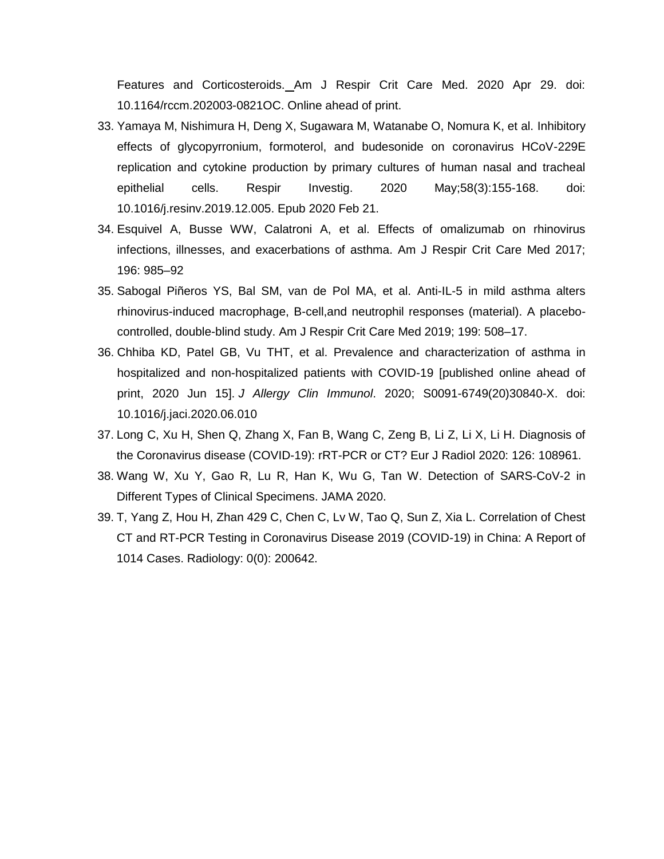Features and Corticosteroids. Am J Respir Crit Care Med. 2020 Apr 29. doi: 10.1164/rccm.202003-0821OC. Online ahead of print.

- 33. Yamaya M, Nishimura H, Deng X, Sugawara M, Watanabe O, Nomura K, et al. Inhibitory effects of glycopyrronium, formoterol, and budesonide on coronavirus HCoV-229E replication and cytokine production by primary cultures of human nasal and tracheal epithelial cells. Respir Investig. 2020 May;58(3):155-168. doi: 10.1016/j.resinv.2019.12.005. Epub 2020 Feb 21.
- 34. Esquivel A, Busse WW, Calatroni A, et al. Effects of omalizumab on rhinovirus infections, illnesses, and exacerbations of asthma. Am J Respir Crit Care Med 2017; 196: 985–92
- 35. Sabogal Piñeros YS, Bal SM, van de Pol MA, et al. Anti-IL-5 in mild asthma alters rhinovirus-induced macrophage, B-cell,and neutrophil responses (material). A placebocontrolled, double-blind study. Am J Respir Crit Care Med 2019; 199: 508–17.
- 36. Chhiba KD, Patel GB, Vu THT, et al. Prevalence and characterization of asthma in hospitalized and non-hospitalized patients with COVID-19 [published online ahead of print, 2020 Jun 15]. *J Allergy Clin Immunol*. 2020; S0091-6749(20)30840-X. doi: 10.1016/j.jaci.2020.06.010
- 37. Long C, Xu H, Shen Q, Zhang X, Fan B, Wang C, Zeng B, Li Z, Li X, Li H. Diagnosis of the Coronavirus disease (COVID-19): rRT-PCR or CT? Eur J Radiol 2020: 126: 108961.
- 38. Wang W, Xu Y, Gao R, Lu R, Han K, Wu G, Tan W. Detection of SARS-CoV-2 in Different Types of Clinical Specimens. JAMA 2020.
- 39. T, Yang Z, Hou H, Zhan 429 C, Chen C, Lv W, Tao Q, Sun Z, Xia L. Correlation of Chest CT and RT-PCR Testing in Coronavirus Disease 2019 (COVID-19) in China: A Report of 1014 Cases. Radiology: 0(0): 200642.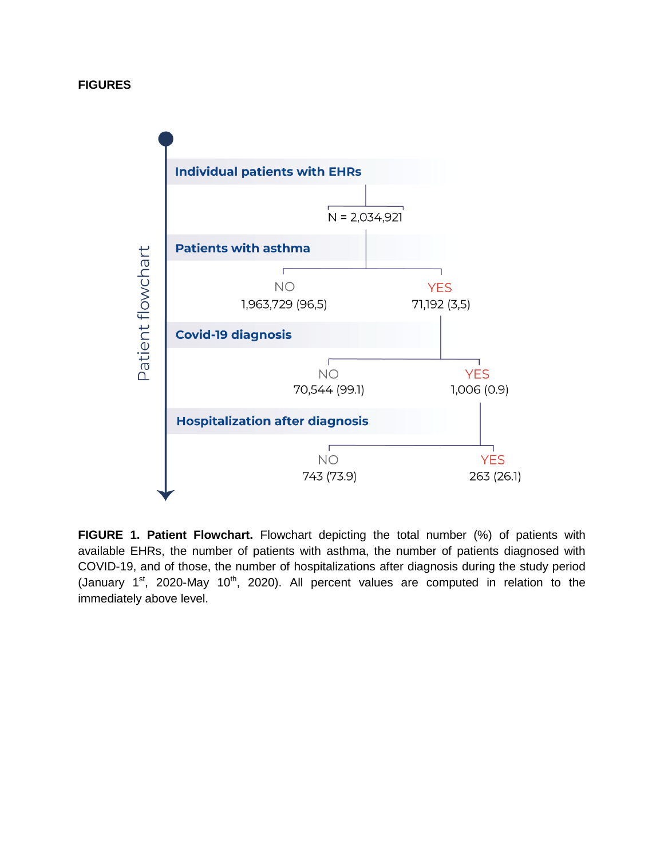

**FIGURE 1. Patient Flowchart.** Flowchart depicting the total number (%) of patients with available EHRs, the number of patients with asthma, the number of patients diagnosed with COVID-19, and of those, the number of hospitalizations after diagnosis during the study period (January  $1^{st}$ , 2020-May  $10^{th}$ , 2020). All percent values are computed in relation to the immediately above level.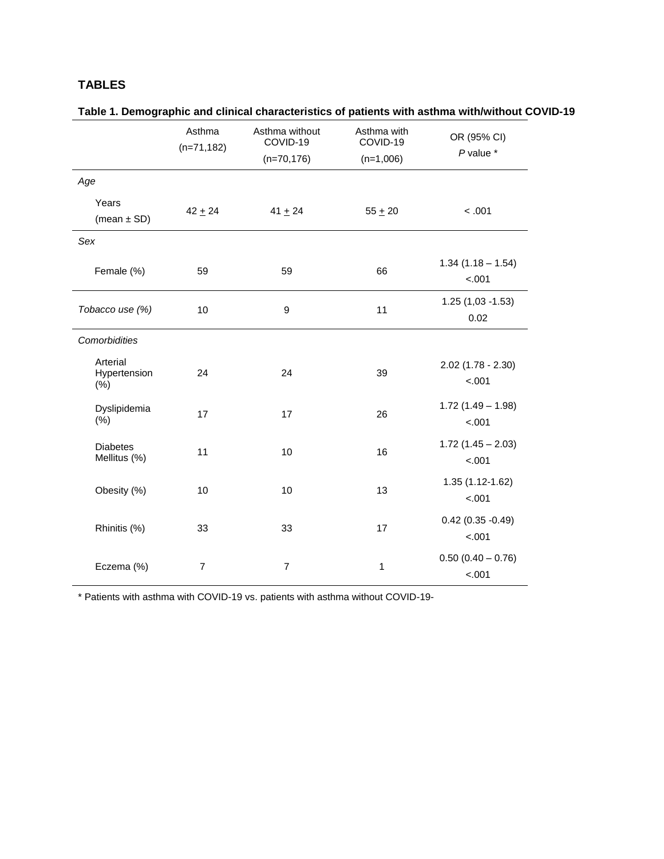### **TABLES**

|                                  | Asthma<br>$(n=71, 182)$ | Asthma without<br>COVID-19<br>$(n=70, 176)$ | Asthma with<br>COVID-19<br>$(n=1,006)$ | OR (95% CI)<br>$P$ value $*$    |
|----------------------------------|-------------------------|---------------------------------------------|----------------------------------------|---------------------------------|
| Age                              |                         |                                             |                                        |                                 |
| Years<br>(mean $\pm$ SD)         | $42 + 24$               | $41 + 24$                                   | $55 + 20$                              | < .001                          |
| Sex                              |                         |                                             |                                        |                                 |
| Female (%)                       | 59                      | 59                                          | 66                                     | $1.34(1.18 - 1.54)$<br>$-.001$  |
| Tobacco use (%)                  | 10                      | $\mathsf g$                                 | 11                                     | $1.25(1,03 - 1.53)$<br>0.02     |
| Comorbidities                    |                         |                                             |                                        |                                 |
| Arterial<br>Hypertension<br>(% ) | 24                      | 24                                          | 39                                     | $2.02$ (1.78 - 2.30)<br>$-.001$ |
| Dyslipidemia<br>(% )             | 17                      | 17                                          | 26                                     | $1.72(1.49 - 1.98)$<br>$-.001$  |
| <b>Diabetes</b><br>Mellitus (%)  | 11                      | 10                                          | 16                                     | $1.72$ (1.45 - 2.03)<br>$-.001$ |
| Obesity (%)                      | 10                      | 10                                          | 13                                     | 1.35 (1.12-1.62)<br>$-.001$     |
| Rhinitis (%)                     | 33                      | 33                                          | 17                                     | $0.42(0.35 - 0.49)$<br>$-.001$  |
| Eczema (%)                       | $\overline{7}$          | $\overline{7}$                              | 1                                      | $0.50(0.40 - 0.76)$<br>< .001   |

| Table 1. Demographic and clinical characteristics of patients with asthma with/without COVID-19 |  |
|-------------------------------------------------------------------------------------------------|--|
|-------------------------------------------------------------------------------------------------|--|

\* Patients with asthma with COVID-19 vs. patients with asthma without COVID-19-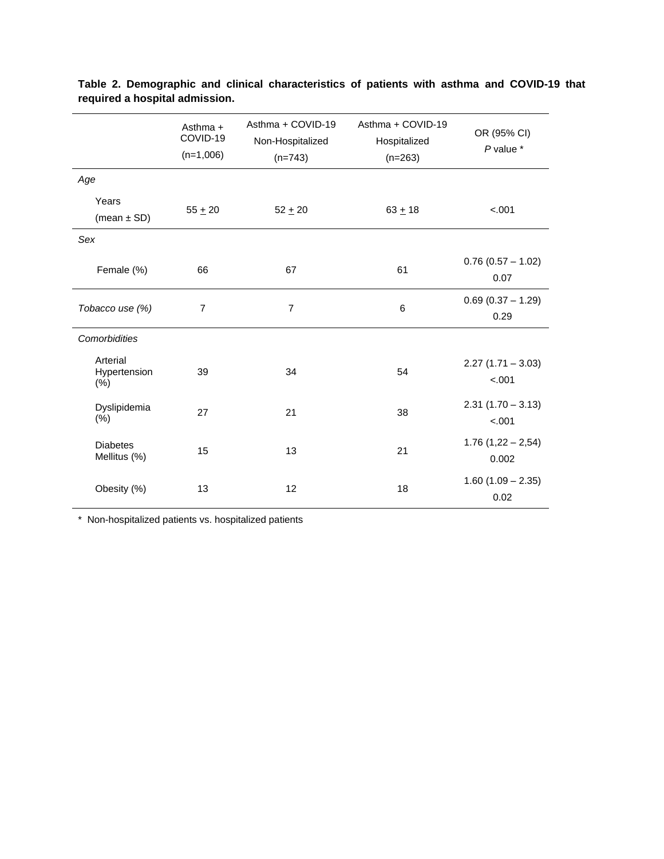|                                     | Asthma $+$<br>COVID-19<br>$(n=1,006)$ | Asthma + COVID-19<br>Non-Hospitalized<br>$(n=743)$ | Asthma + COVID-19<br>Hospitalized<br>$(n=263)$ | OR (95% CI)<br>$P$ value $*$   |
|-------------------------------------|---------------------------------------|----------------------------------------------------|------------------------------------------------|--------------------------------|
| Age                                 |                                       |                                                    |                                                |                                |
| Years<br>(mean $\pm$ SD)            | $55 + 20$                             | $52 + 20$                                          | $63 + 18$                                      | $-.001$                        |
| Sex                                 |                                       |                                                    |                                                |                                |
| Female (%)                          | 66                                    | 67                                                 | 61                                             | $0.76$ (0.57 - 1.02)<br>0.07   |
| Tobacco use (%)                     | $\overline{7}$                        | $\overline{7}$                                     | 6                                              | $0.69$ (0.37 - 1.29)<br>0.29   |
| Comorbidities                       |                                       |                                                    |                                                |                                |
| Arterial<br>Hypertension<br>$(\% )$ | 39                                    | 34                                                 | 54                                             | $2.27(1.71 - 3.03)$<br>$-.001$ |
| Dyslipidemia<br>(% )                | 27                                    | 21                                                 | 38                                             | $2.31(1.70 - 3.13)$<br>$-.001$ |
| <b>Diabetes</b><br>Mellitus (%)     | 15                                    | 13                                                 | 21                                             | $1.76(1,22 - 2,54)$<br>0.002   |
| Obesity (%)                         | 13                                    | 12                                                 | 18                                             | $1.60(1.09 - 2.35)$<br>0.02    |

**Table 2. Demographic and clinical characteristics of patients with asthma and COVID-19 that required a hospital admission.**

\* Non-hospitalized patients vs. hospitalized patients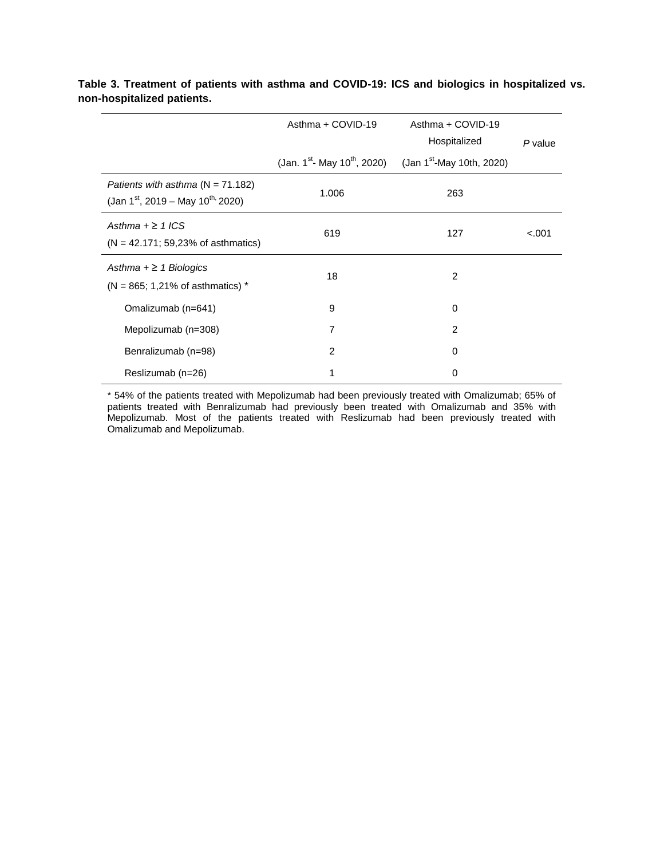|                                                                                                  | Asthma + COVID-19<br>(Jan. 1 <sup>st</sup> - May 10 <sup>th</sup> , 2020) | Asthma + COVID-19<br>Hospitalized<br>(Jan $1^{st}$ -May 10th, 2020) | P value |
|--------------------------------------------------------------------------------------------------|---------------------------------------------------------------------------|---------------------------------------------------------------------|---------|
| Patients with asthma $(N = 71.182)$<br>(Jan 1 <sup>st</sup> , 2019 – May 10 <sup>th,</sup> 2020) | 1.006                                                                     | 263                                                                 |         |
| Asthma $+ \geq 1$ ICS<br>$(N = 42.171; 59,23%$ of asthmatics)                                    | 619                                                                       | 127                                                                 | $-.001$ |
| Asthma $+ \ge 1$ Biologics<br>$(N = 865; 1,21%$ of asthmatics) *                                 | 18                                                                        | $\overline{2}$                                                      |         |
| Omalizumab (n=641)                                                                               | 9                                                                         | 0                                                                   |         |
| Mepolizumab (n=308)                                                                              | 7                                                                         | 2                                                                   |         |
| Benralizumab (n=98)                                                                              | 2                                                                         | 0                                                                   |         |
| Reslizumab (n=26)                                                                                |                                                                           | 0                                                                   |         |

**Table 3. Treatment of patients with asthma and COVID-19: ICS and biologics in hospitalized vs. non-hospitalized patients.**

\* 54% of the patients treated with Mepolizumab had been previously treated with Omalizumab; 65% of patients treated with Benralizumab had previously been treated with Omalizumab and 35% with Mepolizumab. Most of the patients treated with Reslizumab had been previously treated with Omalizumab and Mepolizumab.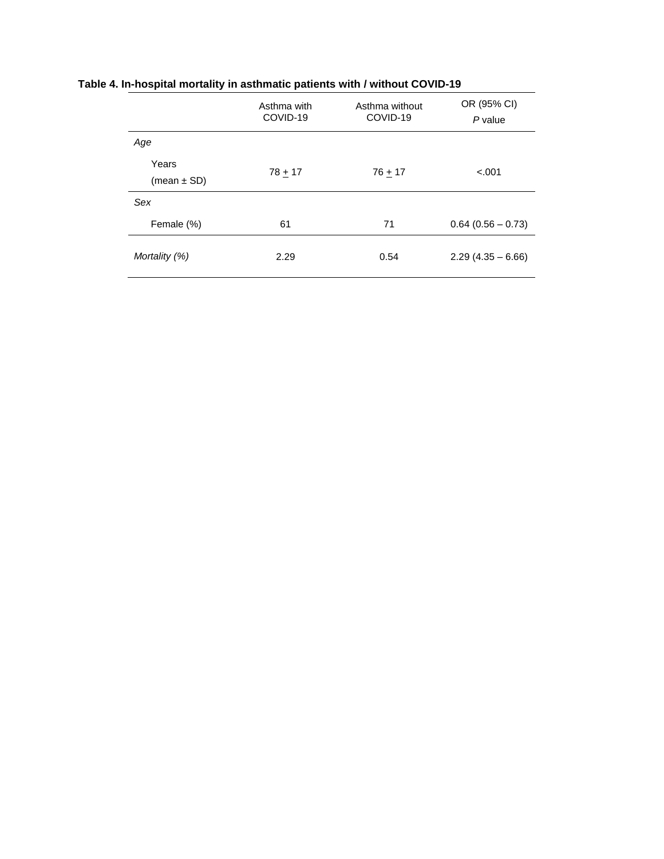|                          | Asthma with<br>COVID-19 | Asthma without<br>COVID-19 | OR (95% CI)<br>P value |
|--------------------------|-------------------------|----------------------------|------------------------|
| Age                      |                         |                            |                        |
| Years<br>(mean $\pm$ SD) | $78 + 17$               | $76 + 17$                  | $-.001$                |
| Sex                      |                         |                            |                        |
| Female (%)               | 61                      | 71                         | $0.64$ (0.56 - 0.73)   |
| Mortality (%)            | 2.29                    | 0.54                       | $2.29(4.35 - 6.66)$    |

#### **Table 4. In-hospital mortality in asthmatic patients with / without COVID-19**